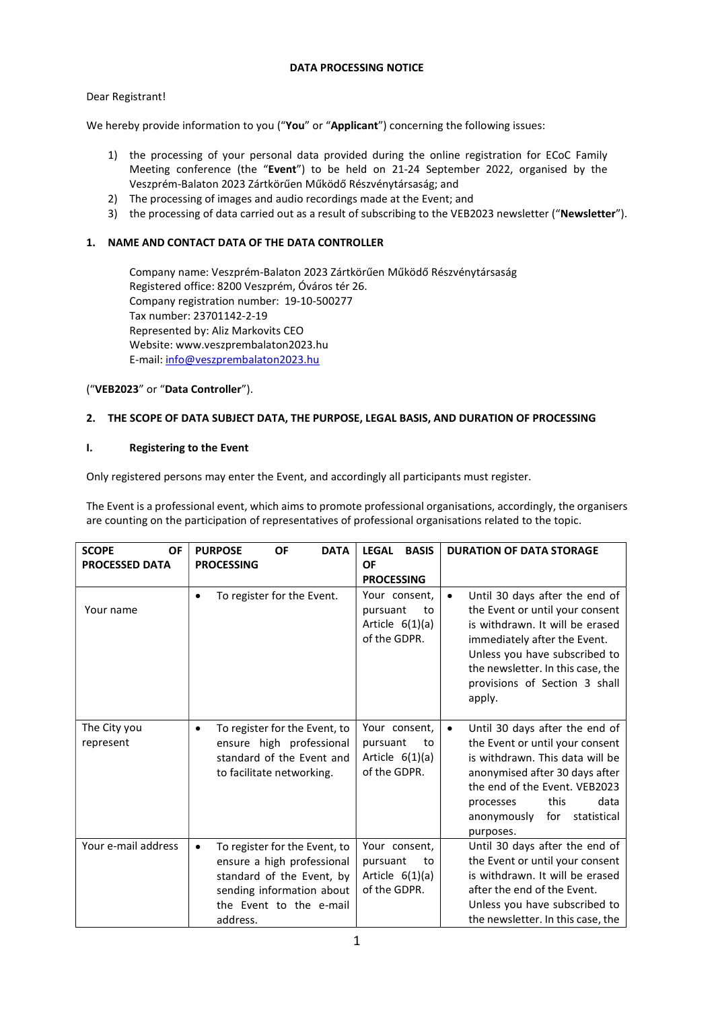# DATA PROCESSING NOTICE

# Dear Registrant!

We hereby provide information to you ("You" or "Applicant") concerning the following issues:

- 1) the processing of your personal data provided during the online registration for ECoC Family Meeting conference (the "Event") to be held on 21-24 September 2022, organised by the Veszprém-Balaton 2023 Zártkörűen Működő Részvénytársaság; and
- 2) The processing of images and audio recordings made at the Event; and
- 3) the processing of data carried out as a result of subscribing to the VEB2023 newsletter ("Newsletter").

## 1. NAME AND CONTACT DATA OF THE DATA CONTROLLER

Company name: Veszprém-Balaton 2023 Zártkörűen Működő Részvénytársaság Registered office: 8200 Veszprém, Óváros tér 26. Company registration number: 19-10-500277 Tax number: 23701142-2-19 Represented by: Aliz Markovits CEO Website: www.veszprembalaton2023.hu E-mail: info@veszprembalaton2023.hu

("VEB2023" or "Data Controller").

## 2. THE SCOPE OF DATA SUBJECT DATA, THE PURPOSE, LEGAL BASIS, AND DURATION OF PROCESSING

### I. Registering to the Event

Only registered persons may enter the Event, and accordingly all participants must register.

The Event is a professional event, which aims to promote professional organisations, accordingly, the organisers are counting on the participation of representatives of professional organisations related to the topic.

| <b>SCOPE</b><br>OF<br><b>PROCESSED DATA</b> | <b>DATA</b><br>OF<br><b>PURPOSE</b><br><b>PROCESSING</b>                                                                                                                  | <b>LEGAL</b><br><b>BASIS</b><br>OF<br><b>PROCESSING</b>              | <b>DURATION OF DATA STORAGE</b>                                                                                                                                                                                                                                     |
|---------------------------------------------|---------------------------------------------------------------------------------------------------------------------------------------------------------------------------|----------------------------------------------------------------------|---------------------------------------------------------------------------------------------------------------------------------------------------------------------------------------------------------------------------------------------------------------------|
| Your name                                   | To register for the Event.<br>$\bullet$                                                                                                                                   | Your consent,<br>pursuant<br>to<br>Article $6(1)(a)$<br>of the GDPR. | Until 30 days after the end of<br>$\bullet$<br>the Event or until your consent<br>is withdrawn. It will be erased<br>immediately after the Event.<br>Unless you have subscribed to<br>the newsletter. In this case, the<br>provisions of Section 3 shall<br>apply.  |
| The City you<br>represent                   | To register for the Event, to<br>$\bullet$<br>ensure high professional<br>standard of the Event and<br>to facilitate networking.                                          | Your consent,<br>pursuant<br>to<br>Article $6(1)(a)$<br>of the GDPR. | Until 30 days after the end of<br>$\bullet$<br>the Event or until your consent<br>is withdrawn. This data will be<br>anonymised after 30 days after<br>the end of the Event. VEB2023<br>data<br>this<br>processes<br>for<br>statistical<br>anonymously<br>purposes. |
| Your e-mail address                         | To register for the Event, to<br>$\bullet$<br>ensure a high professional<br>standard of the Event, by<br>sending information about<br>the Event to the e-mail<br>address. | Your consent,<br>pursuant<br>to<br>Article $6(1)(a)$<br>of the GDPR. | Until 30 days after the end of<br>the Event or until your consent<br>is withdrawn. It will be erased<br>after the end of the Event.<br>Unless you have subscribed to<br>the newsletter. In this case, the                                                           |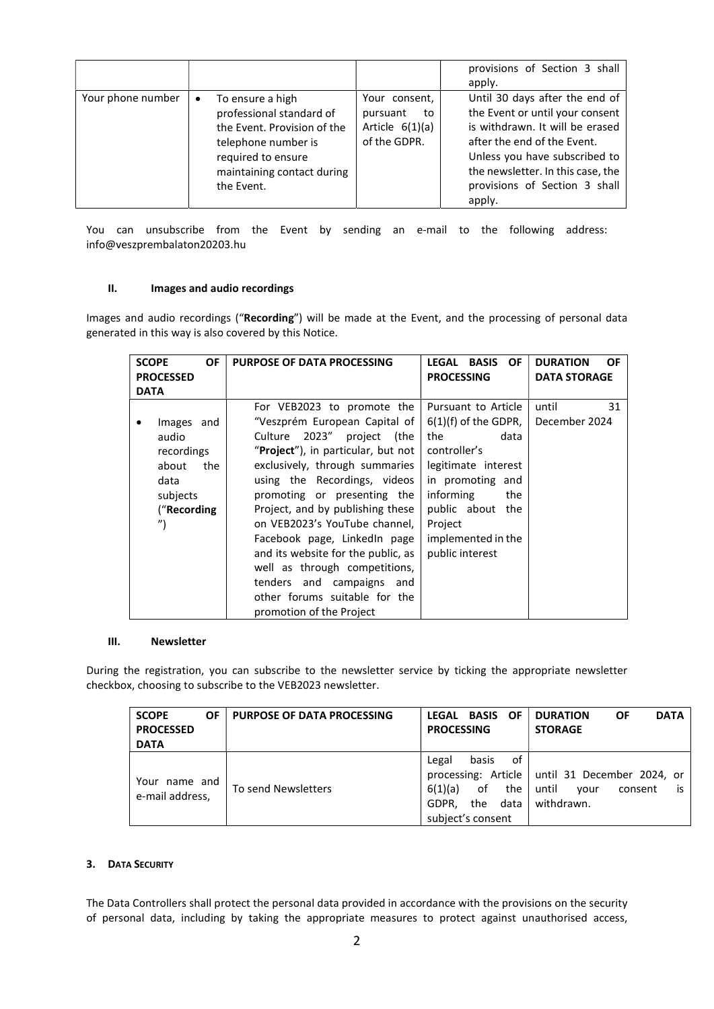|                   |           |                                                                                                                                                                      |                                                                      | provisions of Section 3 shall<br>apply.                                                                                                                                                                                                              |
|-------------------|-----------|----------------------------------------------------------------------------------------------------------------------------------------------------------------------|----------------------------------------------------------------------|------------------------------------------------------------------------------------------------------------------------------------------------------------------------------------------------------------------------------------------------------|
| Your phone number | $\bullet$ | To ensure a high<br>professional standard of<br>the Event. Provision of the<br>telephone number is<br>required to ensure<br>maintaining contact during<br>the Event. | Your consent,<br>pursuant<br>to<br>Article $6(1)(a)$<br>of the GDPR. | Until 30 days after the end of<br>the Event or until your consent<br>is withdrawn. It will be erased<br>after the end of the Event.<br>Unless you have subscribed to<br>the newsletter. In this case, the<br>provisions of Section 3 shall<br>apply. |

You can unsubscribe from the Event by sending an e-mail to the following address: info@veszprembalaton20203.hu

#### II. Images and audio recordings

Images and audio recordings ("Recording") will be made at the Event, and the processing of personal data generated in this way is also covered by this Notice.

| <b>SCOPE</b><br>OF<br><b>PROCESSED</b><br><b>DATA</b>                                                     | <b>PURPOSE OF DATA PROCESSING</b>                                                                                                                                                                                                                                                                                                                                                                                                                                                                      | <b>OF</b><br>LEGAL BASIS<br><b>PROCESSING</b>                                                                                                                                                                          | <b>DURATION</b><br><b>OF</b><br><b>DATA STORAGE</b> |
|-----------------------------------------------------------------------------------------------------------|--------------------------------------------------------------------------------------------------------------------------------------------------------------------------------------------------------------------------------------------------------------------------------------------------------------------------------------------------------------------------------------------------------------------------------------------------------------------------------------------------------|------------------------------------------------------------------------------------------------------------------------------------------------------------------------------------------------------------------------|-----------------------------------------------------|
| Images and<br>audio<br>recordings<br>about<br>the<br>data<br>subjects<br>("Recording<br>$^{\prime\prime}$ | For VEB2023 to promote the<br>"Veszprém European Capital of<br>Culture 2023" project (the<br>"Project"), in particular, but not<br>exclusively, through summaries<br>using the Recordings, videos<br>promoting or presenting the<br>Project, and by publishing these<br>on VEB2023's YouTube channel,<br>Facebook page, LinkedIn page<br>and its website for the public, as<br>well as through competitions,<br>tenders and campaigns and<br>other forums suitable for the<br>promotion of the Project | Pursuant to Article<br>$6(1)(f)$ of the GDPR,<br>the<br>data<br>controller's<br>legitimate interest<br>in promoting and<br>informing<br>the<br>public about<br>the<br>Project<br>implemented in the<br>public interest | 31<br>until<br>December 2024                        |

#### III. Newsletter

During the registration, you can subscribe to the newsletter service by ticking the appropriate newsletter checkbox, choosing to subscribe to the VEB2023 newsletter.

| <b>SCOPE</b><br><b>OF</b><br><b>PROCESSED</b><br><b>DATA</b> | <b>PURPOSE OF DATA PROCESSING</b> | <b>BASIS OF</b><br>LEGAL<br><b>PROCESSING</b>                                             | <b>DATA</b><br><b>DURATION</b><br><b>OF</b><br><b>STORAGE</b>                                    |
|--------------------------------------------------------------|-----------------------------------|-------------------------------------------------------------------------------------------|--------------------------------------------------------------------------------------------------|
| Your name and<br>e-mail address,                             | To send Newsletters               | of<br>basis<br>Legal<br>6(1)(a)<br>the<br>of<br>GDPR.<br>data<br>the<br>subject's consent | processing: Article   until 31 December 2024, or<br>until<br>consent<br>vour<br>is<br>withdrawn. |

### 3. DATA SECURITY

The Data Controllers shall protect the personal data provided in accordance with the provisions on the security of personal data, including by taking the appropriate measures to protect against unauthorised access,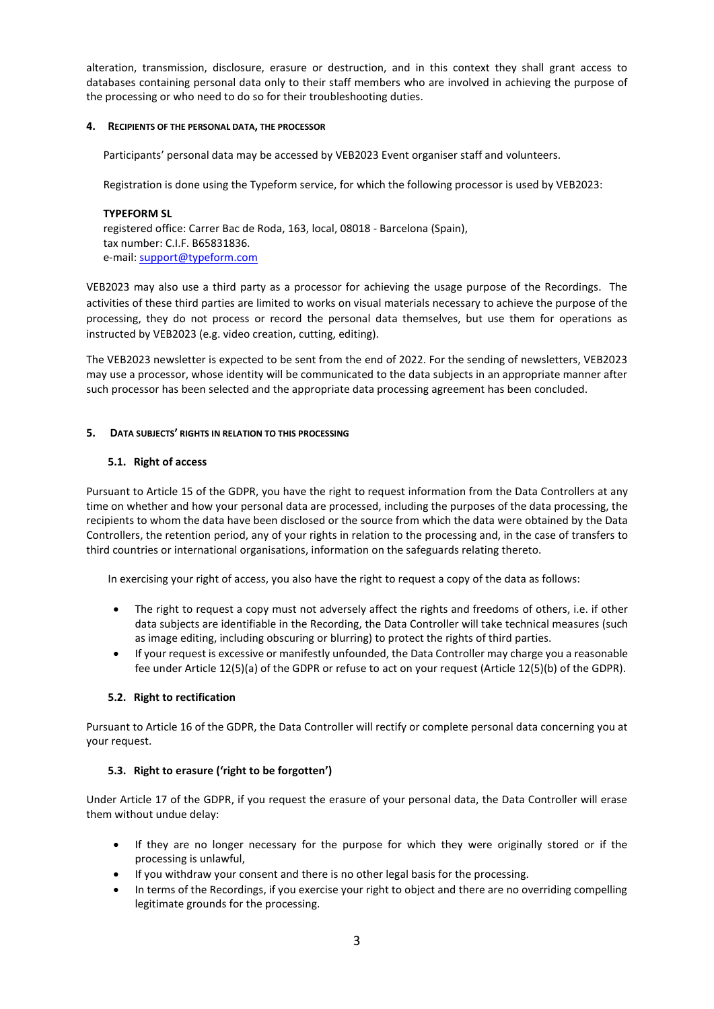alteration, transmission, disclosure, erasure or destruction, and in this context they shall grant access to databases containing personal data only to their staff members who are involved in achieving the purpose of the processing or who need to do so for their troubleshooting duties.

### 4. RECIPIENTS OF THE PERSONAL DATA, THE PROCESSOR

Participants' personal data may be accessed by VEB2023 Event organiser staff and volunteers.

Registration is done using the Typeform service, for which the following processor is used by VEB2023:

### TYPEFORM SL

registered office: Carrer Bac de Roda, 163, local, 08018 - Barcelona (Spain), tax number: C.I.F. B65831836. e-mail: support@typeform.com

VEB2023 may also use a third party as a processor for achieving the usage purpose of the Recordings. The activities of these third parties are limited to works on visual materials necessary to achieve the purpose of the processing, they do not process or record the personal data themselves, but use them for operations as instructed by VEB2023 (e.g. video creation, cutting, editing).

The VEB2023 newsletter is expected to be sent from the end of 2022. For the sending of newsletters, VEB2023 may use a processor, whose identity will be communicated to the data subjects in an appropriate manner after such processor has been selected and the appropriate data processing agreement has been concluded.

### 5. DATA SUBJECTS' RIGHTS IN RELATION TO THIS PROCESSING

### 5.1. Right of access

Pursuant to Article 15 of the GDPR, you have the right to request information from the Data Controllers at any time on whether and how your personal data are processed, including the purposes of the data processing, the recipients to whom the data have been disclosed or the source from which the data were obtained by the Data Controllers, the retention period, any of your rights in relation to the processing and, in the case of transfers to third countries or international organisations, information on the safeguards relating thereto.

In exercising your right of access, you also have the right to request a copy of the data as follows:

- The right to request a copy must not adversely affect the rights and freedoms of others, i.e. if other data subjects are identifiable in the Recording, the Data Controller will take technical measures (such as image editing, including obscuring or blurring) to protect the rights of third parties.
- If your request is excessive or manifestly unfounded, the Data Controller may charge you a reasonable fee under Article 12(5)(a) of the GDPR or refuse to act on your request (Article 12(5)(b) of the GDPR).

### 5.2. Right to rectification

Pursuant to Article 16 of the GDPR, the Data Controller will rectify or complete personal data concerning you at your request.

### 5.3. Right to erasure ('right to be forgotten')

Under Article 17 of the GDPR, if you request the erasure of your personal data, the Data Controller will erase them without undue delay:

- If they are no longer necessary for the purpose for which they were originally stored or if the processing is unlawful,
- If you withdraw your consent and there is no other legal basis for the processing.
- In terms of the Recordings, if you exercise your right to object and there are no overriding compelling legitimate grounds for the processing.